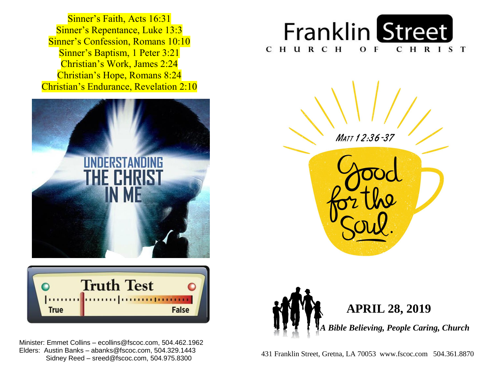**Sinner's Baptism, 1 Peter 3:21**  Christian's Work, James 2:24  Christian's Hope, Romans 8:24  Christian's Endurance, Revelation 2:10 Sinner's Faith, Acts 16:31 Sinner's Repentance, Luke 13:3 Sinner's Confession, Romans 10:10





 Minister: Emmet Collins – ecollins@fscoc.com, 504.462.1962  Sidney Reed – sreed@fscoc.com, 504.975.8300Elders: Austin Banks – abanks@fscoc.com, 504.329.1443







 431 Franklin Street, Gretna, LA 70053 www.fscoc.com 504.361.8870